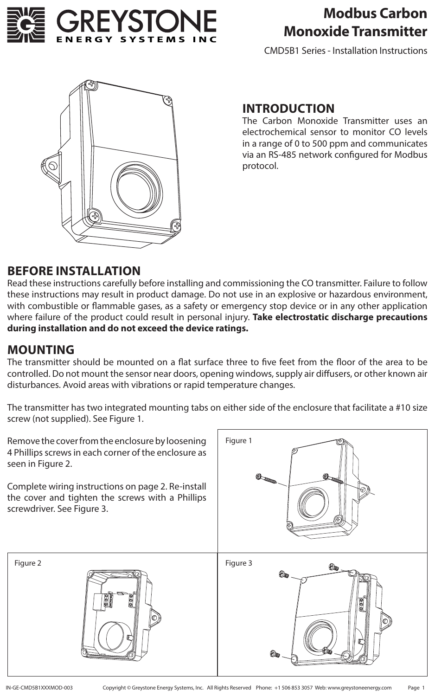

# **Modbus Carbon Monoxide Transmitter**

CMD5B1 Series - Installation Instructions



### **INTRODUCTION**

The Carbon Monoxide Transmitter uses an electrochemical sensor to monitor CO levels in a range of 0 to 500 ppm and communicates via an RS-485 network configured for Modbus protocol.

### **BEFORE INSTALLATION**

Read these instructions carefully before installing and commissioning the CO transmitter. Failure to follow these instructions may result in product damage. Do not use in an explosive or hazardous environment, with combustible or flammable gases, as a safety or emergency stop device or in any other application where failure of the product could result in personal injury. **Take electrostatic discharge precautions during installation and do not exceed the device ratings.**

### **MOUNTING**

The transmitter should be mounted on a flat surface three to five feet from the floor of the area to be controlled. Do not mount the sensor near doors, opening windows, supply air diffusers, or other known air disturbances. Avoid areas with vibrations or rapid temperature changes.

The transmitter has two integrated mounting tabs on either side of the enclosure that facilitate a #10 size screw (not supplied). See Figure 1.

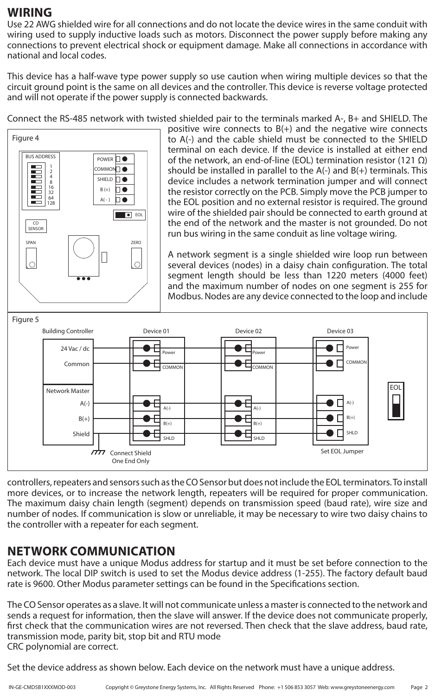### **WIRING**

Use 22 AWG shielded wire for all connections and do not locate the device wires in the same conduit with wiring used to supply inductive loads such as motors. Disconnect the power supply before making any connections to prevent electrical shock or equipment damage. Make all connections in accordance with national and local codes.

This device has a half-wave type power supply so use caution when wiring multiple devices so that the circuit ground point is the same on all devices and the controller. This device is reverse voltage protected and will not operate if the power supply is connected backwards.

Connect the RS-485 network with twisted shielded pair to the terminals marked A-, B+ and SHIELD. The



positive wire connects to  $B(+)$  and the negative wire connects to A(-) and the cable shield must be connected to the SHIELD terminal on each device. If the device is installed at either end of the network, an end-of-line (EOL) termination resistor (121 Ω) should be installed in parallel to the A(-) and B(+) terminals. This device includes a network termination jumper and will connect the resistor correctly on the PCB. Simply move the PCB jumper to the EOL position and no external resistor is required. The ground wire of the shielded pair should be connected to earth ground at the end of the network and the master is not grounded. Do not run bus wiring in the same conduit as line voltage wiring.

A network segment is a single shielded wire loop run between several devices (nodes) in a daisy chain configuration. The total segment length should be less than 1220 meters (4000 feet) and the maximum number of nodes on one segment is 255 for Modbus. Nodes are any device connected to the loop and include



controllers, repeaters and sensors such as the CO Sensor but does not include the EOL terminators. To install more devices, or to increase the network length, repeaters will be required for proper communication. The maximum daisy chain length (segment) depends on transmission speed (baud rate), wire size and number of nodes. If communication is slow or unreliable, it may be necessary to wire two daisy chains to the controller with a repeater for each segment.

## **NETWORK COMMUNICATION**

Each device must have a unique Modus address for startup and it must be set before connection to the network. The local DIP switch is used to set the Modus device address (1-255). The factory default baud rate is 9600. Other Modus parameter settings can be found in the Specifications section.

The CO Sensor operates as a slave. It will not communicate unless a master is connected to the network and sends a request for information, then the slave will answer. If the device does not communicate properly, first check that the communication wires are not reversed. Then check that the slave address, baud rate, transmission mode, parity bit, stop bit and RTU mode CRC polynomial are correct.

Set the device address as shown below. Each device on the network must have a unique address.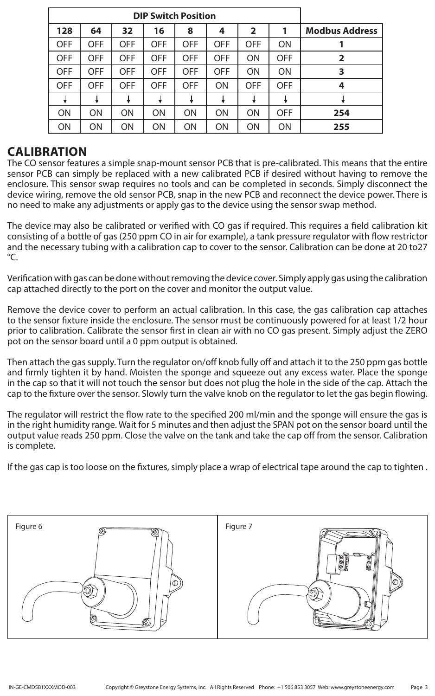|                       | <b>DIP Switch Position</b> |                |            |            |            |            |            |            |  |  |
|-----------------------|----------------------------|----------------|------------|------------|------------|------------|------------|------------|--|--|
| <b>Modbus Address</b> |                            | $\overline{2}$ | 4          | 8          | 16         | 32         | 64         | 128        |  |  |
|                       | ON                         | <b>OFF</b>     | <b>OFF</b> | <b>OFF</b> | <b>OFF</b> | <b>OFF</b> | <b>OFF</b> | <b>OFF</b> |  |  |
| $\overline{2}$        | <b>OFF</b>                 | ON             | <b>OFF</b> | <b>OFF</b> | <b>OFF</b> | <b>OFF</b> | <b>OFF</b> | <b>OFF</b> |  |  |
| 3                     | ON                         | ON             | <b>OFF</b> | <b>OFF</b> | <b>OFF</b> | <b>OFF</b> | <b>OFF</b> | <b>OFF</b> |  |  |
| 4                     | <b>OFF</b>                 | <b>OFF</b>     | ON         | <b>OFF</b> | <b>OFF</b> | <b>OFF</b> | <b>OFF</b> | <b>OFF</b> |  |  |
|                       |                            |                |            |            |            |            |            |            |  |  |
| 254                   | <b>OFF</b>                 | ON             | ON         | ON         | ON         | ON         | <b>ON</b>  | <b>ON</b>  |  |  |
| 255                   | ON                         | ON             | ON         | ON         | ON         | ON         | ON         | ON         |  |  |

### **CALIBRATION**

The CO sensor features a simple snap-mount sensor PCB that is pre-calibrated. This means that the entire sensor PCB can simply be replaced with a new calibrated PCB if desired without having to remove the enclosure. This sensor swap requires no tools and can be completed in seconds. Simply disconnect the device wiring, remove the old sensor PCB, snap in the new PCB and reconnect the device power. There is no need to make any adjustments or apply gas to the device using the sensor swap method.

The device may also be calibrated or verified with CO gas if required. This requires a field calibration kit consisting of a bottle of gas (250 ppm CO in air for example), a tank pressure regulator with flow restrictor and the necessary tubing with a calibration cap to cover to the sensor. Calibration can be done at 20 to27 °C.

Verification with gas can be done without removing the device cover. Simply apply gas using the calibration cap attached directly to the port on the cover and monitor the output value.

Remove the device cover to perform an actual calibration. In this case, the gas calibration cap attaches to the sensor fixture inside the enclosure. The sensor must be continuously powered for at least 1/2 hour prior to calibration. Calibrate the sensor first in clean air with no CO gas present. Simply adjust the ZERO pot on the sensor board until a 0 ppm output is obtained.

Then attach the gas supply. Turn the regulator on/off knob fully off and attach it to the 250 ppm gas bottle and firmly tighten it by hand. Moisten the sponge and squeeze out any excess water. Place the sponge in the cap so that it will not touch the sensor but does not plug the hole in the side of the cap. Attach the cap to the fixture over the sensor. Slowly turn the valve knob on the regulator to let the gas begin flowing.

The regulator will restrict the flow rate to the specified 200 ml/min and the sponge will ensure the gas is in the right humidity range. Wait for 5 minutes and then adjust the SPAN pot on the sensor board until the output value reads 250 ppm. Close the valve on the tank and take the cap off from the sensor. Calibration is complete.

If the gas cap is too loose on the fixtures, simply place a wrap of electrical tape around the cap to tighten .

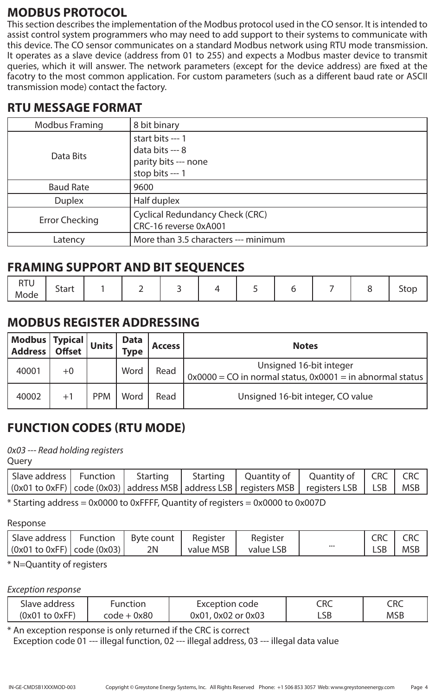## **MODBUS PROTOCOL**

This section describes the implementation of the Modbus protocol used in the CO sensor. It is intended to assist control system programmers who may need to add support to their systems to communicate with this device. The CO sensor communicates on a standard Modbus network using RTU mode transmission. It operates as a slave device (address from 01 to 255) and expects a Modbus master device to transmit queries, which it will answer. The network parameters (except for the device address) are fixed at the facotry to the most common application. For custom parameters (such as a different baud rate or ASCII transmission mode) contact the factory.

## **RTU MESSAGE FORMAT**

| <b>Modbus Framing</b> | 8 bit binary                                                                   |
|-----------------------|--------------------------------------------------------------------------------|
| Data Bits             | start bits --- 1<br>data bits --- 8<br>parity bits --- none<br>stop bits --- 1 |
| <b>Baud Rate</b>      | 9600                                                                           |
| <b>Duplex</b>         | Half duplex                                                                    |
| <b>Error Checking</b> | <b>Cyclical Redundancy Check (CRC)</b><br>CRC-16 reverse 0xA001                |
| Latency               | More than 3.5 characters --- minimum                                           |

## **FRAMING SUPPORT AND BIT SEQUENCES**

| DTL.<br><b>KIU</b><br>Mode | <b>Start</b> |  |  |  |  |  |  |  |  | top |
|----------------------------|--------------|--|--|--|--|--|--|--|--|-----|
|----------------------------|--------------|--|--|--|--|--|--|--|--|-----|

# **MODBUS REGISTER ADDRESSING**

| Modbus   Typical   Units  <br>  Address   Offset   Units |         |            | Data<br><b>Type</b> | <b>Access</b> | <b>Notes</b>                                                                             |
|----------------------------------------------------------|---------|------------|---------------------|---------------|------------------------------------------------------------------------------------------|
| 40001                                                    | $^{+0}$ |            | Word                | Read          | Unsigned 16-bit integer<br>$0x0000 = CO$ in normal status, $0x0001 =$ in abnormal status |
| 40002                                                    |         | <b>PPM</b> | Word                | Read          | Unsigned 16-bit integer, CO value                                                        |

# **FUNCTION CODES (RTU MODE)**

*0x03 --- Read holding registers*

**Query** 

| (0x01 to 0xFF)   code (0x03)   address MSB   address LSB   registers MSB   registers LSB   LSB   MSB |  |  | Slave address   Function   Starting   Starting   Quantity of   Quantity of   CRC   CRC |  |
|------------------------------------------------------------------------------------------------------|--|--|----------------------------------------------------------------------------------------|--|
|                                                                                                      |  |  |                                                                                        |  |

 $*$  Starting address = 0x0000 to 0xFFFF, Quantity of registers = 0x0000 to 0x007D

Response

| Slave address   Function   Byte count              |    | Register  | Register  |                         | $\mathsf{CRC}$ | <b>CRC</b> |
|----------------------------------------------------|----|-----------|-----------|-------------------------|----------------|------------|
| $\vert$ (0x01 to 0xFF) $\vert$ code (0x03) $\vert$ | 2N | value MSB | value LSB | $\bullet\bullet\bullet$ | LSB            | <b>MSB</b> |

### \* N=Quantity of registers

#### *Exception response*

| Slave address      | Function    | Exception code     | CRC | $\subset$ RC |
|--------------------|-------------|--------------------|-----|--------------|
| $(0x01$ to $0xFF)$ | code + 0x80 | 0x01, 0x02 or 0x03 | LSB | <b>MSB</b>   |

\* An exception response is only returned if the CRC is correct Exception code 01 --- illegal function, 02 --- illegal address, 03 --- illegal data value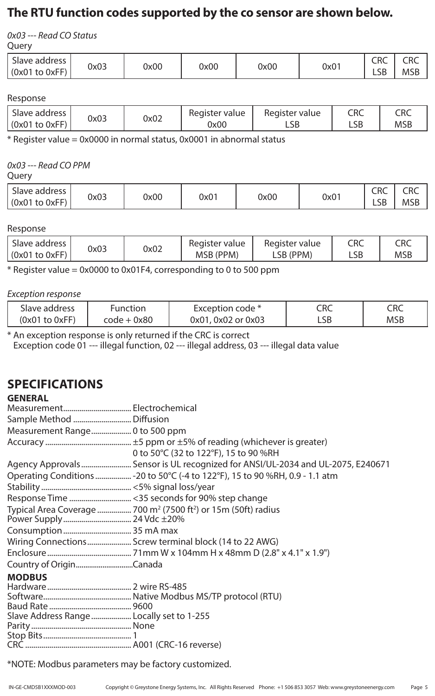## **The RTU function codes supported by the co sensor are shown below.**

*0x03 --- Read CO Status*

**Query** 

| Slave address      | 0x03 | 0x00 | 0x00 | 0x00 | 0x01 | <u>__</u><br>CRC<br>$\sim$ $\sim$ | ⊂D∩<br>しいし |
|--------------------|------|------|------|------|------|-----------------------------------|------------|
| $(0x01$ to $0xFF)$ |      |      |      |      |      | ᄓ                                 | <b>MSF</b> |

#### Response

| Slave address      | 0x03 | 0x02 | Register value | Register value | CRC        | CRC        |
|--------------------|------|------|----------------|----------------|------------|------------|
| $(0x01$ to $0xFF)$ |      |      | 0x00           | ∟SB            | - C L<br>ᇅ | <b>MSB</b> |

\* Register value = 0x0000 in normal status, 0x0001 in abnormal status

#### *0x03 --- Read CO PPM*

Query

| <sup>1</sup> Slave address<br>0x03<br>0x00<br>0x01<br>$(0x01$ to $0xFF)$ | 0x00 | 0x01 | CRC<br>LSB | CRC<br><b>MSE</b> |
|--------------------------------------------------------------------------|------|------|------------|-------------------|
|--------------------------------------------------------------------------|------|------|------------|-------------------|

#### Response

|                                                                  | CRC<br>Register value | CRC        |
|------------------------------------------------------------------|-----------------------|------------|
| 0x02<br>0x03<br>$\vert$ (0x01 to 0xFF)<br>MSB (PPM)<br>LSB (PPM) | LSB                   | <b>MSB</b> |

\* Register value = 0x0000 to 0x01F4, corresponding to 0 to 500 ppm

#### *Exception response*

| Slave address      | unction     | Exception code *   | CRC | CRC        |
|--------------------|-------------|--------------------|-----|------------|
| $(0x01$ to $0xFF)$ | code + 0x80 | 0x01, 0x02 or 0x03 | LSB | <b>MSB</b> |

\* An exception response is only returned if the CRC is correct

Exception code 01 --- illegal function, 02 --- illegal address, 03 --- illegal data value

# **SPECIFICATIONS**

| <b>GENERAL</b>                            |                                                                                        |
|-------------------------------------------|----------------------------------------------------------------------------------------|
|                                           |                                                                                        |
| Sample Method  Diffusion                  |                                                                                        |
| Measurement Range 0 to 500 ppm            |                                                                                        |
|                                           |                                                                                        |
|                                           | 0 to 50°C (32 to 122°F), 15 to 90 %RH                                                  |
|                                           | Agency Approvals  Sensor is UL recognized for ANSI/UL-2034 and UL-2075, E240671        |
|                                           | Operating Conditions  - 20 to 50°C (-4 to 122°F), 15 to 90 %RH, 0.9 - 1.1 atm          |
|                                           |                                                                                        |
|                                           | Response Time <35 seconds for 90% step change                                          |
|                                           | Typical Area Coverage  700 m <sup>2</sup> (7500 ft <sup>2</sup> ) or 15m (50ft) radius |
| Power Supply 24 Vdc ±20%                  |                                                                                        |
|                                           |                                                                                        |
|                                           | Wiring Connections Screw terminal block (14 to 22 AWG)                                 |
|                                           |                                                                                        |
|                                           |                                                                                        |
| <b>MODBUS</b>                             |                                                                                        |
|                                           |                                                                                        |
|                                           |                                                                                        |
|                                           |                                                                                        |
| Slave Address Range  Locally set to 1-255 |                                                                                        |
|                                           |                                                                                        |
|                                           |                                                                                        |
|                                           |                                                                                        |

\*NOTE: Modbus parameters may be factory customized.